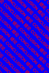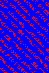